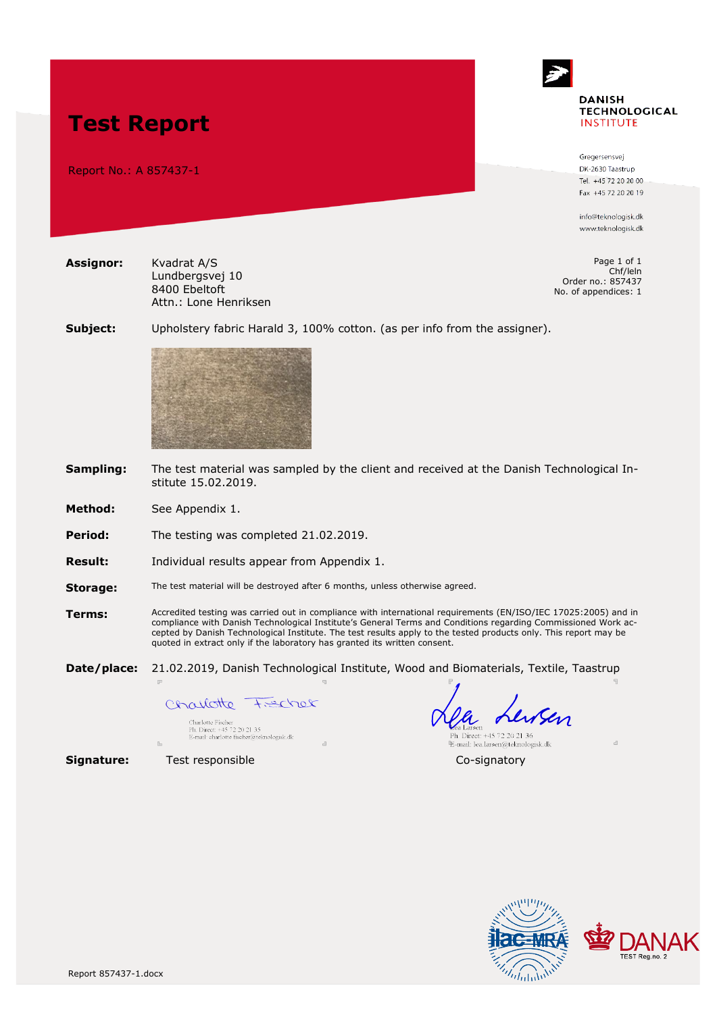

Gregersensvei DK-2630 Taastrup Tel. +45 72 20 20 00 Fax +45 72 20 20 19

info@teknologisk.dk www.teknologisk.dk

Page 1 of 1 Chf/leln Order no.: 857437 No. of appendices: 1

**Subject:** Upholstery fabric Harald 3, 100% cotton. (as per info from the assigner).



**Sampling:** The test material was sampled by the client and received at the Danish Technological Institute 15.02.2019.

**Method:** See Appendix 1.

**Test Report**

Report No.: A 857437-1

**Assignor:** Kvadrat A/S

Lundbergsvej 10 8400 Ebeltoft

Attn.: Lone Henriksen

**Period:** The testing was completed 21.02.2019.

**Result:** Individual results appear from Appendix 1.

**Storage:** The test material will be destroyed after 6 months, unless otherwise agreed.

**Terms:** Accredited testing was carried out in compliance with international requirements (EN/ISO/IEC 17025:2005) and in compliance with Danish Technological Institute's General Terms and Conditions regarding Commissioned Work accepted by Danish Technological Institute. The test results apply to the tested products only. This report may be quoted in extract only if the laboratory has granted its written consent.

**Date/place:** 21.02.2019, Danish Technological Institute, Wood and Biomaterials, Textile, Taastrup

Charlotte Fecher

Charlotte Fischer<br>Ph. Direct: +45 72 20 21 35<br>E-mail: charlotte.fischer@teknologisk.dk

Lewsen a Larsen Eea Laisen<br>Ph. Direct: +45 72 20 21 36<br>E-mail: lea.larsen@teknologisk.dk

**Signature:** Test responsible Co-signatory